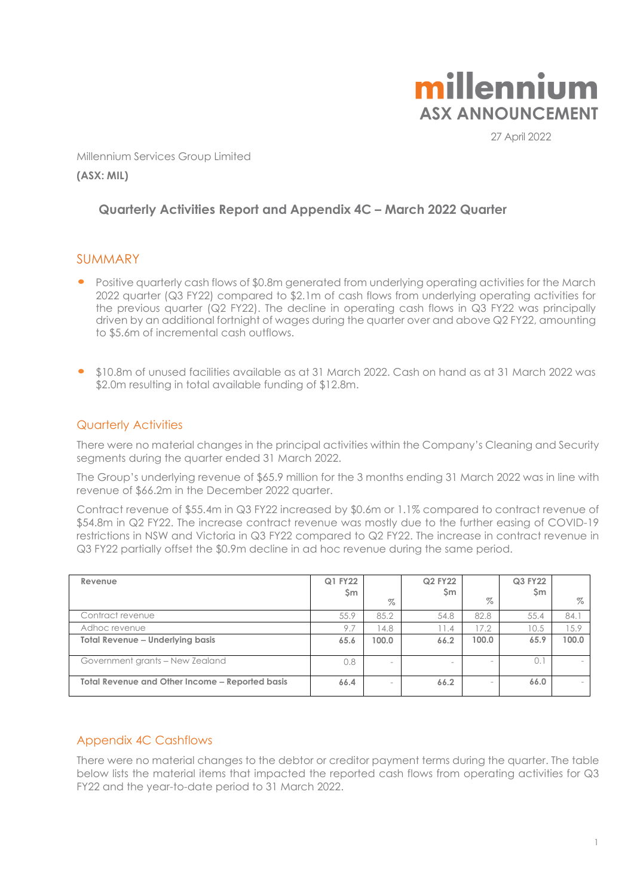

27 April 2022

Millennium Services Group Limited

**(ASX: MIL)**

## **Quarterly Activities Report and Appendix 4C – March 2022 Quarter**

## SUMMARY

- Positive quarterly cash flows of \$0.8m generated from underlying operating activities for the March 2022 quarter (Q3 FY22) compared to \$2.1m of cash flows from underlying operating activities for the previous quarter (Q2 FY22). The decline in operating cash flows in Q3 FY22 was principally driven by an additional fortnight of wages during the quarter over and above Q2 FY22, amounting to \$5.6m of incremental cash outflows.
- \$10.8m of unused facilities available as at 31 March 2022. Cash on hand as at 31 March <sup>2022</sup> was \$2.0m resulting in total available funding of \$12.8m.

### Quarterly Activities

There were no material changes in the principal activities within the Company's Cleaning and Security segments during the quarter ended 31 March 2022.

The Group's underlying revenue of \$65.9 million for the 3 months ending 31 March 2022 was in line with revenue of \$66.2m in the December 2022 quarter.

Contract revenue of \$55.4m in Q3 FY22 increased by \$0.6m or 1.1% compared to contract revenue of \$54.8m in Q2 FY22. The increase contract revenue was mostly due to the further easing of COVID-19 restrictions in NSW and Victoria in Q3 FY22 compared to Q2 FY22. The increase in contract revenue in Q3 FY22 partially offset the \$0.9m decline in ad hoc revenue during the same period.

| Revenue                                         | Q1 FY22<br>Şm | $\%$                     | <b>Q2 FY22</b><br>Sm | $\%$                     | Q3 FY22<br>Sm | $\%$  |
|-------------------------------------------------|---------------|--------------------------|----------------------|--------------------------|---------------|-------|
| Contract revenue                                | 55.9          | 85.2                     | 54.8                 | 82.8                     | 55.4          | 84.1  |
| Adhoc revenue                                   | 9.7           | 4.8                      | 11.4                 | 17.2                     | 10.5          | 15.9  |
| <b>Total Revenue - Underlying basis</b>         | 65.6          | 100.0                    | 66.2                 | 100.0                    | 65.9          | 100.0 |
| Government grants - New Zealand                 | 0.8           | $\overline{\phantom{a}}$ |                      | $\overline{\phantom{0}}$ | 0.1           |       |
| Total Revenue and Other Income – Reported basis | 66.4          | $\overline{\phantom{a}}$ | 66.2                 | $\overline{\phantom{0}}$ | 66.0          |       |

## Appendix 4C Cashflows

There were no material changes to the debtor or creditor payment terms during the quarter. The table below lists the material items that impacted the reported cash flows from operating activities for Q3 FY22 and the year-to-date period to 31 March 2022.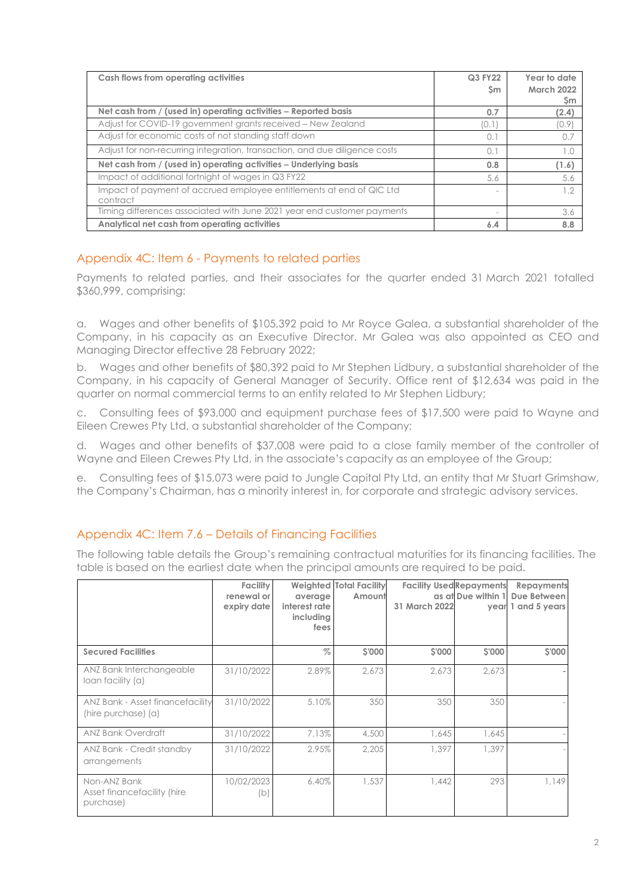| Cash flows from operating activities                                             | <b>Q3 FY22</b><br>Sm | Year to date<br><b>March 2022</b><br>Sm |
|----------------------------------------------------------------------------------|----------------------|-----------------------------------------|
| Net cash from / (used in) operating activities - Reported basis                  | 0.7                  | (2.4)                                   |
| Adjust for COVID-19 government grants received – New Zealand                     | 10.1                 | (0.9)                                   |
| Adjust for economic costs of not standing staff down                             | $\Omega$ .           | 0.7                                     |
| Adjust for non-recurring integration, transaction, and due diligence costs       | 0.1                  | 1.0                                     |
| Net cash from / (used in) operating activities - Underlying basis                | 0.8                  | (1.6)                                   |
| Impact of additional fortnight of wages in Q3 FY22                               | 5.6                  | 5.6                                     |
| Impact of payment of accrued employee entitlements at end of QIC Ltd<br>contract |                      | 1.2                                     |
| Timing differences associated with June 2021 year end customer payments          |                      | 3.6                                     |
| Analytical net cash from operating activities                                    | 6.4                  | 8.8                                     |

## Appendix 4C: Item 6 - Payments to related parties

Payments to related parties, and their associates for the quarter ended 31 March 2021 totalled \$360,999, comprising:

a. Wages and other benefits of \$105,392 paid to Mr Royce Galea, a substantial shareholder of the Company, in his capacity as an Executive Director. Mr Galea was also appointed as CEO and Managing Director effective 28 February 2022;

b. Wages and other benefits of \$80,392 paid to Mr Stephen Lidbury, a substantial shareholder of the Company, in his capacity of General Manager of Security. Office rent of \$12,634 was paid in the quarter on normal commercial terms to an entity related to Mr Stephen Lidbury;

c. Consulting fees of \$93,000 and equipment purchase fees of \$17,500 were paid to Wayne and Eileen Crewes Pty Ltd, a substantial shareholder of the Company;

d. Wages and other benefits of \$37,008 were paid to a close family member of the controller of Wayne and Eileen Crewes Pty Ltd, in the associate's capacity as an employee of the Group;

e. Consulting fees of \$15,073 were paid to Jungle Capital Pty Ltd, an entity that Mr Stuart Grimshaw, the Company's Chairman, has a minority interest in, for corporate and strategic advisory services.

## Appendix 4C: Item 7.6 – Details of Financing Facilities

The following table details the Group's remaining contractual maturities for its financing facilities. The table is based on the earliest date when the principal amounts are required to be paid.

|                                                          | <b>Facility</b><br>renewal or<br>expiry date | average<br>interest rate<br>including<br>fees | <b>Weighted Total Facility</b><br>Amount | 31 March 2022 | <b>Facility Used Repayments</b><br>as at Due within 1 | Repayments<br>Due Between<br>year 1 and 5 years |
|----------------------------------------------------------|----------------------------------------------|-----------------------------------------------|------------------------------------------|---------------|-------------------------------------------------------|-------------------------------------------------|
| <b>Secured Facilities</b>                                |                                              | $\%$                                          | \$'000                                   | \$'000        | \$'000                                                | \$'000                                          |
| ANZ Bank Interchangeable<br>loan facility (a)            | 31/10/2022                                   | 2.89%                                         | 2,673                                    | 2,673         | 2,673                                                 |                                                 |
| ANZ Bank - Asset financefacility<br>(hire purchase) (a)  | 31/10/2022                                   | 5.10%                                         | 350                                      | 350           | 350                                                   |                                                 |
| <b>ANZ Bank Overdraft</b>                                | 31/10/2022                                   | 7.13%                                         | 4,500                                    | 1.645         | 1.645                                                 |                                                 |
| ANZ Bank - Credit standby<br>arrangements                | 31/10/2022                                   | 2.95%                                         | 2,205                                    | 1,397         | 1.397                                                 |                                                 |
| Non-ANZ Bank<br>Asset financefacility (hire<br>purchase) | 10/02/2023<br>(b)                            | 6.40%                                         | 1.537                                    | 1.442         | 293                                                   | 1.149                                           |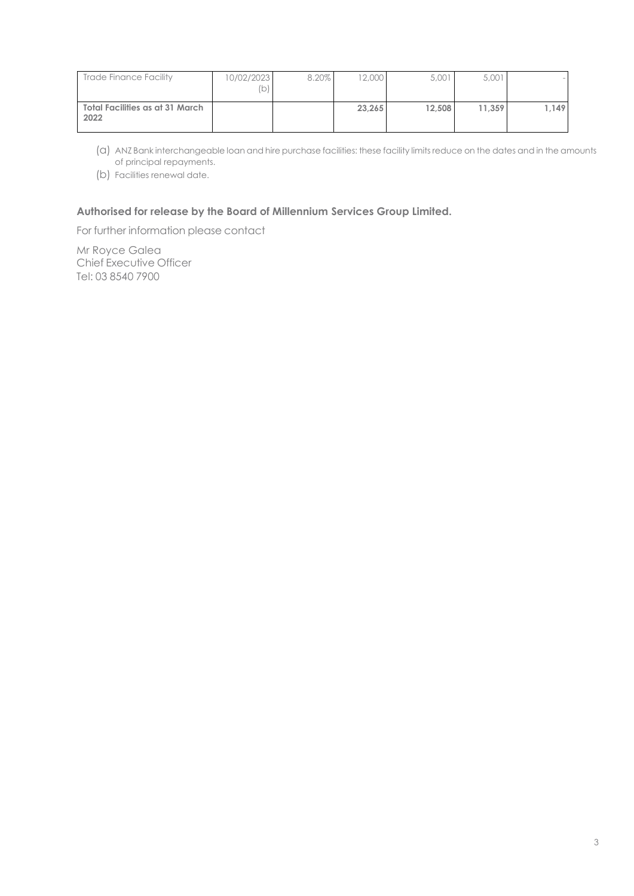| Trade Finance Facility                  | 10/02/2023<br>(b) | 8.20% | 12,000 | 5,001  | 5,001  |      |
|-----------------------------------------|-------------------|-------|--------|--------|--------|------|
| Total Facilities as at 31 March<br>2022 |                   |       | 23.265 | 12.508 | 11.359 | .149 |

(a) ANZ Bank interchangeable loan and hire purchase facilities: these facility limits reduce on the dates and in the amounts of principal repayments.

(b) Facilities renewal date.

#### **Authorised for release by the Board of Millennium Services Group Limited.**

For further information please contact

Mr Royce Galea Chief Executive Officer Tel: 03 8540 7900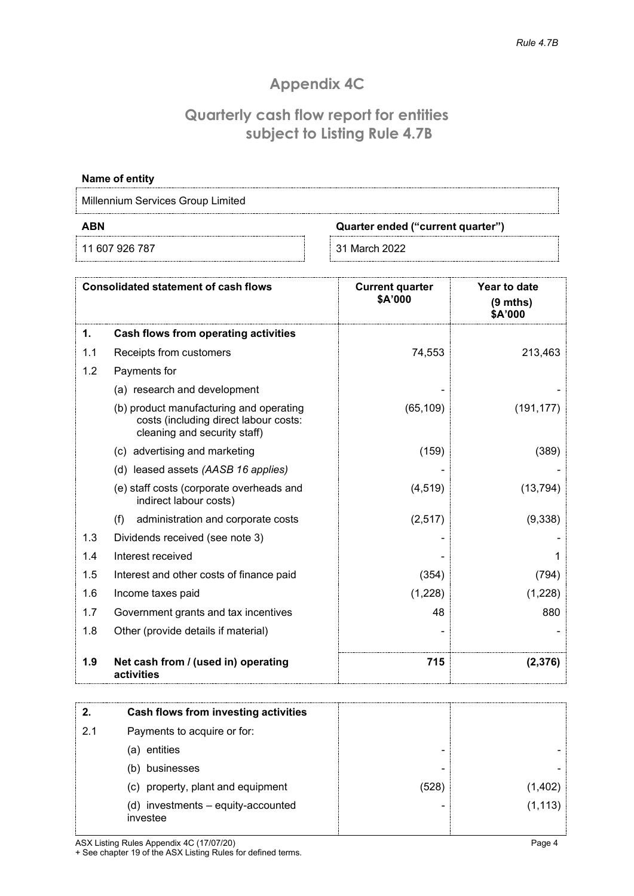# **Appendix 4C**

## **Quarterly cash flow report for entities subject to Listing Rule 4.7B**

| Name of entity                    |                                   |  |  |  |  |
|-----------------------------------|-----------------------------------|--|--|--|--|
| Millennium Services Group Limited |                                   |  |  |  |  |
| ABN                               | Quarter ended ("current quarter") |  |  |  |  |
| 11 607 926 787                    | 31 March 2022                     |  |  |  |  |

|     | <b>Consolidated statement of cash flows</b>                                                                      | <b>Current quarter</b><br>\$A'000 | <b>Year to date</b><br>$(9$ mths)<br>\$A'000 |
|-----|------------------------------------------------------------------------------------------------------------------|-----------------------------------|----------------------------------------------|
| 1.  | Cash flows from operating activities                                                                             |                                   |                                              |
| 1.1 | Receipts from customers                                                                                          | 74,553                            | 213,463                                      |
| 1.2 | Payments for                                                                                                     |                                   |                                              |
|     | (a) research and development                                                                                     |                                   |                                              |
|     | (b) product manufacturing and operating<br>costs (including direct labour costs:<br>cleaning and security staff) | (65, 109)                         | (191, 177)                                   |
|     | (c) advertising and marketing                                                                                    | (159)                             | (389)                                        |
|     | (d) leased assets (AASB 16 applies)                                                                              |                                   |                                              |
|     | (e) staff costs (corporate overheads and<br>indirect labour costs)                                               | (4, 519)                          | (13, 794)                                    |
|     | (f)<br>administration and corporate costs                                                                        | (2,517)                           | (9,338)                                      |
| 1.3 | Dividends received (see note 3)                                                                                  |                                   |                                              |
| 1.4 | Interest received                                                                                                |                                   |                                              |
| 1.5 | Interest and other costs of finance paid                                                                         | (354)                             | (794)                                        |
| 1.6 | Income taxes paid                                                                                                | (1,228)                           | (1,228)                                      |
| 1.7 | Government grants and tax incentives                                                                             | 48                                | 880                                          |
| 1.8 | Other (provide details if material)                                                                              |                                   |                                              |
| 1.9 | Net cash from / (used in) operating<br>activities                                                                | 715                               | (2, 376)                                     |

|     | Cash flows from investing activities           |      |          |
|-----|------------------------------------------------|------|----------|
| 2.1 | Payments to acquire or for:                    |      |          |
|     | entities<br>a)                                 | -    |          |
|     | businesses                                     | -    |          |
|     | (c) property, plant and equipment              | (528 | ,1,402   |
|     | (d) investments - equity-accounted<br>investee |      | (1, 113) |

ASX Listing Rules Appendix 4C (17/07/20)

+ See chapter 19 of the ASX Listing Rules for defined terms.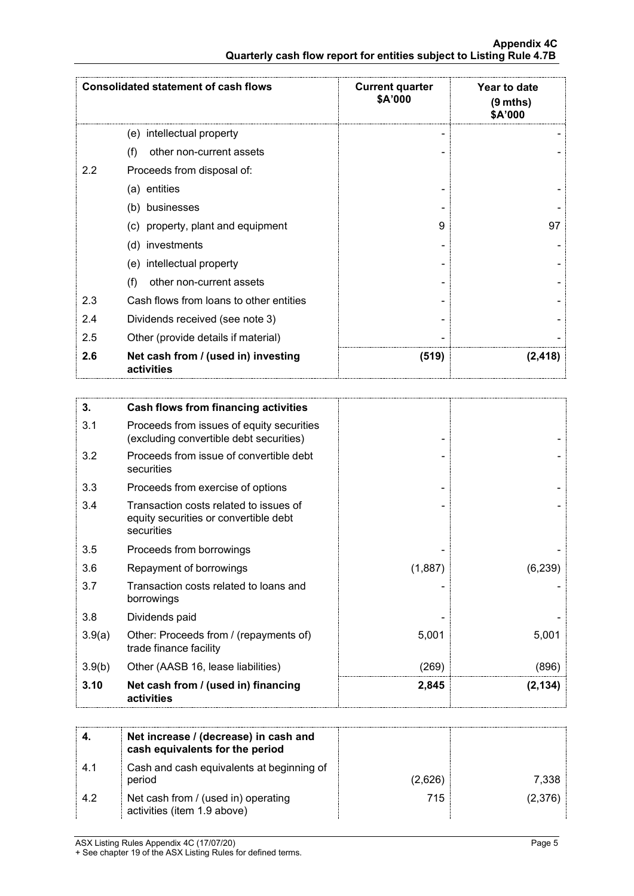|                                                                      | <b>Appendix 4C</b> |
|----------------------------------------------------------------------|--------------------|
| Quarterly cash flow report for entities subject to Listing Rule 4.7B |                    |

|     | <b>Consolidated statement of cash flows</b>       | <b>Current quarter</b><br>\$A'000 | Year to date<br>$(9 \text{ mths})$<br>\$A'000 |
|-----|---------------------------------------------------|-----------------------------------|-----------------------------------------------|
|     | (e) intellectual property                         |                                   |                                               |
|     | other non-current assets<br>(f)                   |                                   |                                               |
| 2.2 | Proceeds from disposal of:                        |                                   |                                               |
|     | (a) entities                                      |                                   |                                               |
|     | (b) businesses                                    |                                   |                                               |
|     | (c) property, plant and equipment                 | я                                 | 97                                            |
|     | (d) investments                                   |                                   |                                               |
|     | (e) intellectual property                         |                                   |                                               |
|     | other non-current assets<br>(f)                   |                                   |                                               |
| 2.3 | Cash flows from loans to other entities           |                                   |                                               |
| 2.4 | Dividends received (see note 3)                   |                                   |                                               |
| 2.5 | Other (provide details if material)               |                                   |                                               |
| 2.6 | Net cash from / (used in) investing<br>activities | (519)                             | (2, 418)                                      |

| 3.     | <b>Cash flows from financing activities</b>                                                   |         |          |
|--------|-----------------------------------------------------------------------------------------------|---------|----------|
| 3.1    | Proceeds from issues of equity securities<br>(excluding convertible debt securities)          |         |          |
| 3.2    | Proceeds from issue of convertible debt<br>securities                                         |         |          |
| 3.3    | Proceeds from exercise of options                                                             |         |          |
| 3.4    | Transaction costs related to issues of<br>equity securities or convertible debt<br>securities |         |          |
| 3.5    | Proceeds from borrowings                                                                      |         |          |
| 3.6    | Repayment of borrowings                                                                       | (1,887) | (6, 239) |
| 3.7    | Transaction costs related to loans and<br>borrowings                                          |         |          |
| 3.8    | Dividends paid                                                                                |         |          |
| 3.9(a) | Other: Proceeds from / (repayments of)<br>trade finance facility                              | 5,001   | 5,001    |
| 3.9(b) | Other (AASB 16, lease liabilities)                                                            | (269)   | (896)    |
| 3.10   | Net cash from / (used in) financing<br>activities                                             | 2,845   | (2, 134) |

|     | Net increase / (decrease) in cash and<br>cash equivalents for the period |         |         |
|-----|--------------------------------------------------------------------------|---------|---------|
| 4.1 | Cash and cash equivalents at beginning of<br>period                      | (2,626) | 7.338   |
| 4.2 | Net cash from / (used in) operating<br>activities (item 1.9 above)       | 715     | (2,376) |

ASX Listing Rules Appendix 4C (17/07/20) + See chapter 19 of the ASX Listing Rules for defined terms.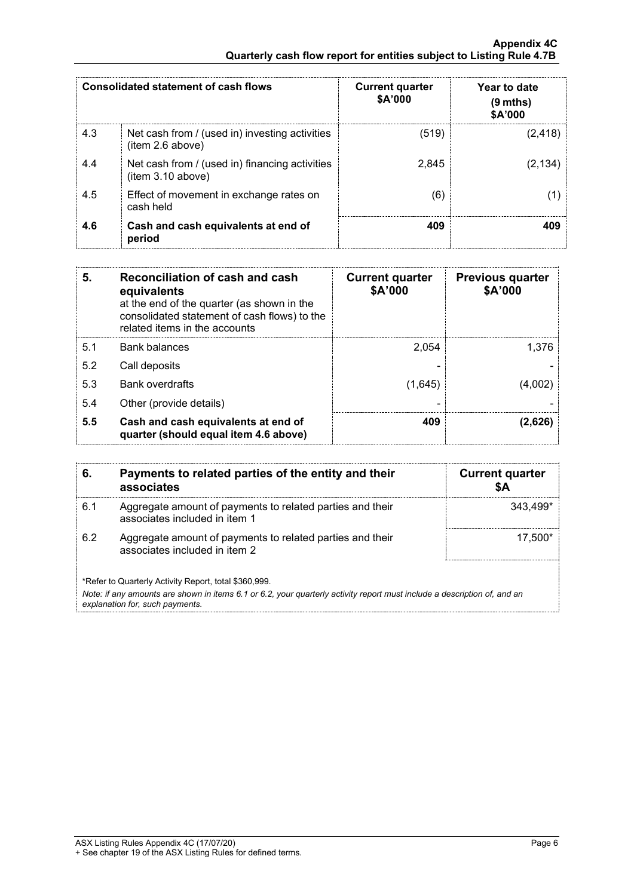#### **Appendix 4C Quarterly cash flow report for entities subject to Listing Rule 4.7B**

|     | Consolidated statement of cash flows                                | <b>Current quarter</b><br>\$A'000 | Year to date<br>(9 mths)<br>\$A'000 |
|-----|---------------------------------------------------------------------|-----------------------------------|-------------------------------------|
| 4.3 | Net cash from / (used in) investing activities<br>(item 2.6 above)  | (519)                             | (2, 418)                            |
| 4.4 | Net cash from / (used in) financing activities<br>(item 3.10 above) | 2,845                             | (2.134)                             |
| 4.5 | Effect of movement in exchange rates on<br>cash held                | (6                                |                                     |
| 4.6 | Cash and cash equivalents at end of<br>period                       | 409                               |                                     |

| 5.  | Reconciliation of cash and cash<br>equivalents<br>at the end of the quarter (as shown in the<br>consolidated statement of cash flows) to the<br>related items in the accounts | <b>Current quarter</b><br>\$A'000 | <b>Previous quarter</b><br>\$A'000 |
|-----|-------------------------------------------------------------------------------------------------------------------------------------------------------------------------------|-----------------------------------|------------------------------------|
| 5.1 | <b>Bank balances</b>                                                                                                                                                          | 2,054                             | 1.376                              |
| 5.2 | Call deposits                                                                                                                                                                 |                                   |                                    |
| 5.3 | <b>Bank overdrafts</b>                                                                                                                                                        | (1,645)                           |                                    |
| 5.4 | Other (provide details)                                                                                                                                                       |                                   |                                    |
| 5.5 | Cash and cash equivalents at end of<br>quarter (should equal item 4.6 above)                                                                                                  | 409                               | (2,626)                            |

|                                                                                                                                                                                                                      | Payments to related parties of the entity and their<br>associates                          | <b>Current quarter</b> |  |  |
|----------------------------------------------------------------------------------------------------------------------------------------------------------------------------------------------------------------------|--------------------------------------------------------------------------------------------|------------------------|--|--|
| ჩ 1                                                                                                                                                                                                                  | Aggregate amount of payments to related parties and their<br>associates included in item 1 | 343.499*               |  |  |
| 6.2                                                                                                                                                                                                                  | Aggregate amount of payments to related parties and their<br>associates included in item 2 | 17.500*                |  |  |
| *Refer to Quarterly Activity Report, total \$360,999.<br>Note: if any amounts are shown in items 6.1 or 6.2, your quarterly activity report must include a description of, and an<br>explanation for, such payments. |                                                                                            |                        |  |  |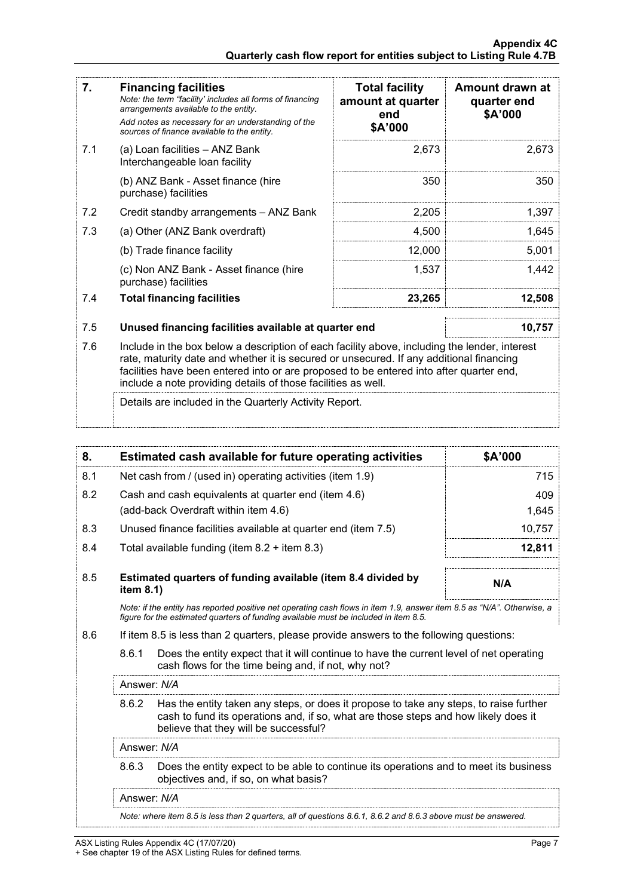| 7.  | <b>Financing facilities</b><br>Note: the term "facility' includes all forms of financing<br>arrangements available to the entity.<br>Add notes as necessary for an understanding of the<br>sources of finance available to the entity.                                                                                                               | <b>Total facility</b><br>amount at quarter<br>end<br>\$A'000 | Amount drawn at<br>quarter end<br>\$A'000 |
|-----|------------------------------------------------------------------------------------------------------------------------------------------------------------------------------------------------------------------------------------------------------------------------------------------------------------------------------------------------------|--------------------------------------------------------------|-------------------------------------------|
| 7.1 | (a) Loan facilities - ANZ Bank<br>Interchangeable loan facility                                                                                                                                                                                                                                                                                      | 2,673                                                        | 2,673                                     |
|     | (b) ANZ Bank - Asset finance (hire<br>purchase) facilities                                                                                                                                                                                                                                                                                           | 350                                                          | 350                                       |
| 7.2 | Credit standby arrangements - ANZ Bank                                                                                                                                                                                                                                                                                                               | 2,205                                                        | 1,397                                     |
| 7.3 | (a) Other (ANZ Bank overdraft)                                                                                                                                                                                                                                                                                                                       | 4,500                                                        | 1,645                                     |
|     | (b) Trade finance facility                                                                                                                                                                                                                                                                                                                           | 12,000                                                       | 5,001                                     |
|     | (c) Non ANZ Bank - Asset finance (hire<br>purchase) facilities                                                                                                                                                                                                                                                                                       | 1,537                                                        | 1,442                                     |
| 7.4 | <b>Total financing facilities</b>                                                                                                                                                                                                                                                                                                                    | 23,265                                                       | 12,508                                    |
|     |                                                                                                                                                                                                                                                                                                                                                      |                                                              |                                           |
| 7.5 | Unused financing facilities available at quarter end<br>10,757                                                                                                                                                                                                                                                                                       |                                                              |                                           |
| 7.6 | Include in the box below a description of each facility above, including the lender, interest<br>rate, maturity date and whether it is secured or unsecured. If any additional financing<br>facilities have been entered into or are proposed to be entered into after quarter end,<br>include a note providing details of those facilities as well. |                                                              |                                           |

Details are included in the Quarterly Activity Report.

| 8.                                                                                                                                                                                                             |                                                                                                                                                                                                                                 | Estimated cash available for future operating activities | \$A'000 |
|----------------------------------------------------------------------------------------------------------------------------------------------------------------------------------------------------------------|---------------------------------------------------------------------------------------------------------------------------------------------------------------------------------------------------------------------------------|----------------------------------------------------------|---------|
| 8.1                                                                                                                                                                                                            | Net cash from / (used in) operating activities (item 1.9)                                                                                                                                                                       |                                                          | 715     |
| 8.2                                                                                                                                                                                                            |                                                                                                                                                                                                                                 | Cash and cash equivalents at quarter end (item 4.6)      | 409     |
|                                                                                                                                                                                                                |                                                                                                                                                                                                                                 | (add-back Overdraft within item 4.6)                     | 1,645   |
| 8.3                                                                                                                                                                                                            | Unused finance facilities available at quarter end (item 7.5)                                                                                                                                                                   |                                                          | 10,757  |
| 8.4                                                                                                                                                                                                            | Total available funding (item $8.2 +$ item $8.3$ )                                                                                                                                                                              |                                                          | 12,811  |
| 8.5                                                                                                                                                                                                            | Estimated quarters of funding available (item 8.4 divided by<br>item 8.1)                                                                                                                                                       | N/A                                                      |         |
| Note: if the entity has reported positive net operating cash flows in item 1.9, answer item 8.5 as "N/A". Otherwise, a<br>figure for the estimated quarters of funding available must be included in item 8.5. |                                                                                                                                                                                                                                 |                                                          |         |
| 8.6<br>If item 8.5 is less than 2 quarters, please provide answers to the following questions:                                                                                                                 |                                                                                                                                                                                                                                 |                                                          |         |
|                                                                                                                                                                                                                | 8.6.1<br>Does the entity expect that it will continue to have the current level of net operating<br>cash flows for the time being and, if not, why not?                                                                         |                                                          |         |
|                                                                                                                                                                                                                | Answer: N/A                                                                                                                                                                                                                     |                                                          |         |
|                                                                                                                                                                                                                | Has the entity taken any steps, or does it propose to take any steps, to raise further<br>8.6.2<br>cash to fund its operations and, if so, what are those steps and how likely does it<br>believe that they will be successful? |                                                          |         |
|                                                                                                                                                                                                                | Answer: N/A                                                                                                                                                                                                                     |                                                          |         |
|                                                                                                                                                                                                                | 8.6.3<br>Does the entity expect to be able to continue its operations and to meet its business<br>objectives and, if so, on what basis?                                                                                         |                                                          |         |
|                                                                                                                                                                                                                | Answer: N/A                                                                                                                                                                                                                     |                                                          |         |
|                                                                                                                                                                                                                | Note: where item 8.5 is less than 2 quarters, all of questions 8.6.1, 8.6.2 and 8.6.3 above must be answered.                                                                                                                   |                                                          |         |